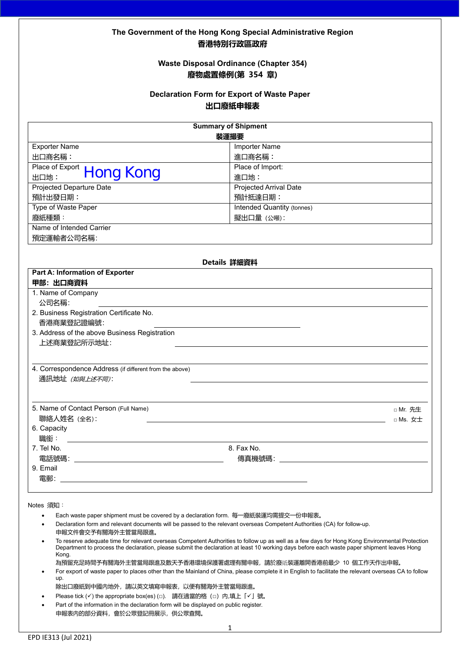## **The Government of the Hong Kong Special Administrative Region 香港特別行政區政府**

### **Waste Disposal Ordinance (Chapter 354) 廢物處置條例(第 354 章)**

## **Declaration Form for Export of Waste Paper 出口廢紙申報表**

| <b>Summary of Shipment</b>                              |                                   |  |  |  |
|---------------------------------------------------------|-----------------------------------|--|--|--|
| 装運撮要                                                    |                                   |  |  |  |
| <b>Exporter Name</b>                                    | <b>Importer Name</b>              |  |  |  |
| 出口商名稱:                                                  | 進口商名稱:                            |  |  |  |
| Place of Export Hong Kong                               | Place of Import:                  |  |  |  |
|                                                         | 進口地:                              |  |  |  |
| <b>Projected Departure Date</b>                         | Projected Arrival Date            |  |  |  |
| 預計出發日期:                                                 | 預計抵達日期:                           |  |  |  |
| Type of Waste Paper                                     | <b>Intended Quantity (tonnes)</b> |  |  |  |
| 廢紙種類:                                                   | 擬出口量 (公噸):                        |  |  |  |
| Name of Intended Carrier                                |                                   |  |  |  |
| 預定運輸者公司名稱:                                              |                                   |  |  |  |
|                                                         |                                   |  |  |  |
|                                                         | Details 詳細資料                      |  |  |  |
| Part A: Information of Exporter                         |                                   |  |  |  |
| 甲部: 出口商資料                                               |                                   |  |  |  |
| 1. Name of Company                                      |                                   |  |  |  |
| 公司名稱:                                                   |                                   |  |  |  |
| 2. Business Registration Certificate No.                |                                   |  |  |  |
| 香港商業登記證編號:                                              |                                   |  |  |  |
| 3. Address of the above Business Registration           |                                   |  |  |  |
| 上述商業登記所示地址:                                             |                                   |  |  |  |
|                                                         |                                   |  |  |  |
|                                                         |                                   |  |  |  |
| 4. Correspondence Address (if different from the above) |                                   |  |  |  |
| 通訊地址 (如與上述不同):                                          |                                   |  |  |  |
|                                                         |                                   |  |  |  |
| 5. Name of Contact Person (Full Name)                   |                                   |  |  |  |
| 聯絡人姓名 (全名):                                             | □ Mr. 先生                          |  |  |  |
| 6. Capacity                                             | $\Box$ Ms. $\overline{x}$ $\pm$   |  |  |  |
| 職銜:                                                     |                                   |  |  |  |
| 7. Tel No.                                              | 8. Fax No.                        |  |  |  |
|                                                         |                                   |  |  |  |
| 9. Email                                                |                                   |  |  |  |
| 雷郵:                                                     |                                   |  |  |  |
|                                                         |                                   |  |  |  |

**Notes 須知**:

- Each waste paper shipment must be covered by a declaration form. 每一廢紙裝運均需提交一份申報表。
- Declaration form and relevant documents will be passed to the relevant overseas Competent Authorities (CA) for follow-up. 申報文件會交予有關海外主管當局跟進。
- To reserve adequate time for relevant overseas Competent Authorities to follow up as well as a few days for Hong Kong Environmental Protection Department to process the declaration, please submit the declaration at least 10 working days before each waste paper shipment leaves Hong Kong.

為預留充足時間予有關海外主管當局跟進及數天予香港環境保護署處理有關申報,請於廢紙裝運離開香港前最少 10 個工作天作出申報。

• For export of waste paper to places other than the Mainland of China, please complete it in English to facilitate the relevant overseas CA to follow up.

除出口廢紙到中國內地外,請以英文填寫申報表,以便有關海外主管當局跟進。

- Please tick (√) the appropriate box(es) (□). 請在適當的格(□)内,填上「√」號。
- Part of the information in the declaration form will be displayed on public register. 申報表內的部分資料,會於公眾登記冊展示,供公眾查閱。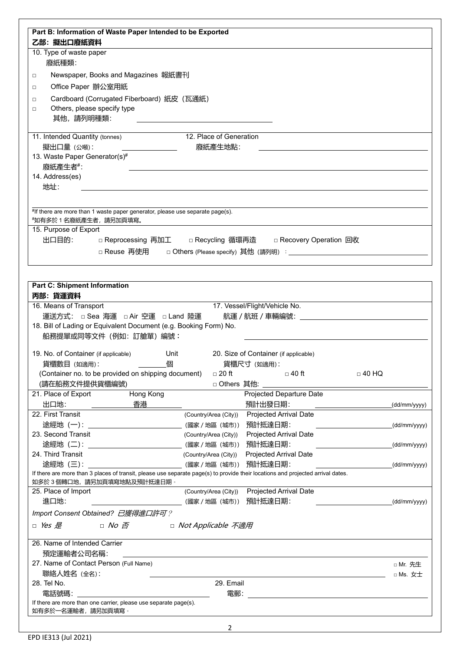| Part B: Information of Waste Paper Intended to be Exported                                                                                                                  |                                      |                                               |              |                                                              |
|-----------------------------------------------------------------------------------------------------------------------------------------------------------------------------|--------------------------------------|-----------------------------------------------|--------------|--------------------------------------------------------------|
| 乙部: 擬出口廢紙資料                                                                                                                                                                 |                                      |                                               |              |                                                              |
| 10. Type of waste paper                                                                                                                                                     |                                      |                                               |              |                                                              |
| 廢紙種類:                                                                                                                                                                       |                                      |                                               |              |                                                              |
| Newspaper, Books and Magazines 報紙書刊<br>$\Box$                                                                                                                               |                                      |                                               |              |                                                              |
| Office Paper 辦公室用紙<br>$\Box$                                                                                                                                                |                                      |                                               |              |                                                              |
|                                                                                                                                                                             |                                      |                                               |              |                                                              |
| Cardboard (Corrugated Fiberboard) 紙皮 (瓦通紙)<br>$\Box$                                                                                                                        |                                      |                                               |              |                                                              |
| Others, please specify type<br>$\Box$                                                                                                                                       |                                      |                                               |              |                                                              |
| 其他,請列明種類:                                                                                                                                                                   |                                      |                                               |              |                                                              |
| 11. Intended Quantity (tonnes)                                                                                                                                              | 12. Place of Generation              |                                               |              |                                                              |
| 擬出口量 (公噸):                                                                                                                                                                  | 廢紙產生地點:                              |                                               |              |                                                              |
| 13. Waste Paper Generator(s)#                                                                                                                                               |                                      |                                               |              |                                                              |
| 廢紙產生者#:                                                                                                                                                                     |                                      |                                               |              |                                                              |
| 14. Address(es)                                                                                                                                                             |                                      |                                               |              |                                                              |
| 地址:                                                                                                                                                                         |                                      |                                               |              |                                                              |
|                                                                                                                                                                             |                                      |                                               |              |                                                              |
|                                                                                                                                                                             |                                      |                                               |              |                                                              |
| #If there are more than 1 waste paper generator, please use separate page(s).<br>*如有多於1名廢紙產生者,請另加頁填寫。                                                                       |                                      |                                               |              |                                                              |
| 15. Purpose of Export                                                                                                                                                       |                                      |                                               |              |                                                              |
| 出口目的: □ Reprocessing 再加工 □ Recycling 循環再造 □ Recovery Operation 回收                                                                                                           |                                      |                                               |              |                                                              |
|                                                                                                                                                                             |                                      |                                               |              |                                                              |
| □ Reuse 再使用                                                                                                                                                                 |                                      |                                               |              |                                                              |
|                                                                                                                                                                             |                                      |                                               |              |                                                              |
|                                                                                                                                                                             |                                      |                                               |              |                                                              |
| <b>Part C: Shipment Information</b>                                                                                                                                         |                                      |                                               |              |                                                              |
|                                                                                                                                                                             |                                      |                                               |              |                                                              |
| 丙部:貨運資料                                                                                                                                                                     |                                      |                                               |              |                                                              |
| 16. Means of Transport                                                                                                                                                      |                                      | 17. Vessel/Flight/Vehicle No.                 |              |                                                              |
| 運送方式: □ Sea 海運 □ Air 空運 □ Land 陸運                                                                                                                                           |                                      | 航運 / 航班 / 車輛編號: フィランド しょうかん しゅうかん しゅうかん しゅうかん |              |                                                              |
| 18. Bill of Lading or Equivalent Document (e.g. Booking Form) No.                                                                                                           |                                      |                                               |              |                                                              |
| 船務提單或同等文件 (例如: 訂艙單) 編號:                                                                                                                                                     |                                      |                                               |              |                                                              |
|                                                                                                                                                                             |                                      |                                               |              |                                                              |
| 19. No. of Container (if applicable)                                                                                                                                        | Unit                                 | 20. Size of Container (if applicable)         |              |                                                              |
| 貨櫃數目 (如適用):                                                                                                                                                                 | 個                                    | 貨櫃尺寸 (如適用):                                   |              |                                                              |
| (Container no. to be provided on shipping document)                                                                                                                         | $\Box$ 20 ft                         | □ 40 ft                                       | $\Box$ 40 HQ |                                                              |
| (請在船務文件提供貨櫃編號)                                                                                                                                                              |                                      | □ Others 其他: ______                           |              |                                                              |
| Hong Kong                                                                                                                                                                   |                                      | Projected Departure Date                      |              |                                                              |
| 香港<br>出口地:                                                                                                                                                                  |                                      | 預計出發日期:                                       |              |                                                              |
|                                                                                                                                                                             |                                      | (Country/Area (City)) Projected Arrival Date  |              |                                                              |
| 途經地 (一): ___________________________________(國家/地區 (城市)) 預計抵達日期:                                                                                                            |                                      |                                               |              |                                                              |
|                                                                                                                                                                             | (Country/Area (City))                | <b>Projected Arrival Date</b>                 |              |                                                              |
| 途經地 (二): __________________________________(國家/地區 (城市)) 預計抵達日期:                                                                                                             |                                      |                                               |              |                                                              |
| 23. Second Transit<br>24. Third Transit                                                                                                                                     | (Country/Area (City))                | <b>Projected Arrival Date</b>                 |              |                                                              |
| 途經地 (三): ___________________________________(國家/地區 (城市)) 預計抵達日期:                                                                                                            |                                      |                                               |              |                                                              |
| 21. Place of Export<br>22. First Transit<br>If there are more than 3 places of transit, please use separate page(s) to provide their locations and projected arrival dates. |                                      |                                               |              | (dd/mm/yyyy)<br>(dd/mm/yyyy)<br>(dd/mm/yyyy)<br>(dd/mm/yyyy) |
|                                                                                                                                                                             |                                      |                                               |              |                                                              |
|                                                                                                                                                                             | (Country/Area (City))                | <b>Projected Arrival Date</b>                 |              |                                                              |
| 25. Place of Import<br>進口地:                                                                                                                                                 | ______________(國家 / 地區 (城市)) 預計抵達日期: |                                               |              |                                                              |
| Import Consent Obtained? 已獲得進口許可?                                                                                                                                           |                                      |                                               |              |                                                              |
| $\Box$ Yes $E$<br>$\Box$ No $\bar{B}$                                                                                                                                       | □ <i>Not Applicable 不適用</i>          |                                               |              |                                                              |
| 如多於 3 個轉口地,請另加頁填寫地點及預計抵達日期。                                                                                                                                                 |                                      |                                               |              | (dd/mm/yyyy)                                                 |
|                                                                                                                                                                             |                                      |                                               |              |                                                              |
| 預定運輸者公司名稱:                                                                                                                                                                  |                                      |                                               |              |                                                              |
|                                                                                                                                                                             |                                      |                                               |              | □ Mr. 先生                                                     |
| 26. Name of Intended Carrier<br>27. Name of Contact Person (Full Name)<br>聯絡人姓名 (全名):                                                                                       |                                      |                                               |              | □ Ms. 女士                                                     |
| 28. Tel No.                                                                                                                                                                 | 29. Email                            |                                               |              |                                                              |
| 電話號碼:                                                                                                                                                                       | 電郵:                                  |                                               |              |                                                              |
| If there are more than one carrier, please use separate page(s).<br>如有多於一名運輸者,請另加頁填寫。                                                                                       |                                      |                                               |              |                                                              |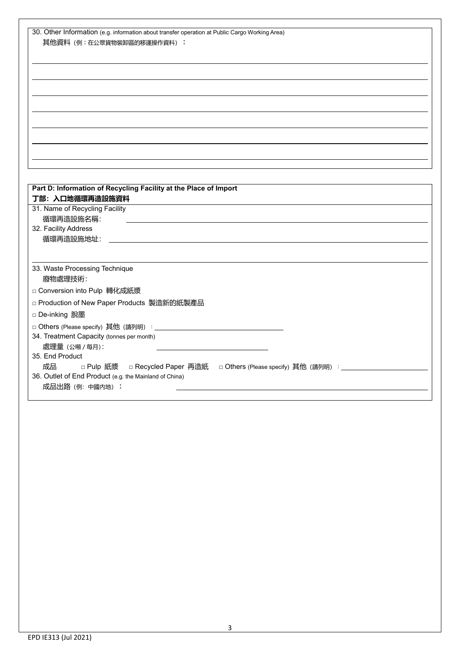| 30. Other Information (e.g. information about transfer operation at Public Cargo Working Area) |
|------------------------------------------------------------------------------------------------|
| 其他資料 (例:在公眾貨物裝卸區的移運操作資料):                                                                      |
|                                                                                                |
|                                                                                                |
|                                                                                                |
|                                                                                                |
|                                                                                                |
|                                                                                                |
|                                                                                                |
|                                                                                                |
|                                                                                                |
|                                                                                                |
|                                                                                                |
|                                                                                                |
|                                                                                                |
| Part D: Information of Recycling Facility at the Place of Import<br>丁部: 入口地循環再造設施資料            |
| 31. Name of Recycling Facility                                                                 |
| 循環再造設施名稱:                                                                                      |
| 32. Facility Address                                                                           |
| 循環再造設施地址:                                                                                      |
|                                                                                                |
|                                                                                                |
| 33. Waste Processing Technique                                                                 |
| 廢物處理技術:                                                                                        |
| □ Conversion into Pulp 轉化成紙漿                                                                   |
| □ Production of New Paper Products 製造新的紙製產品                                                    |
|                                                                                                |
| □ De-inking 脫墨                                                                                 |
|                                                                                                |
| 34. Treatment Capacity (tonnes per month)                                                      |
| 處理量 (公噸 / 每月):                                                                                 |
| 35. End Product                                                                                |
| 成品<br>□ Pulp 紙漿  □ Recycled Paper 再造紙  □ Others (Please specify) 其他 (請列明) :___________         |
| 36. Outlet of End Product (e.g. the Mainland of China)                                         |
| 成品出路 (例: 中國内地):                                                                                |
|                                                                                                |